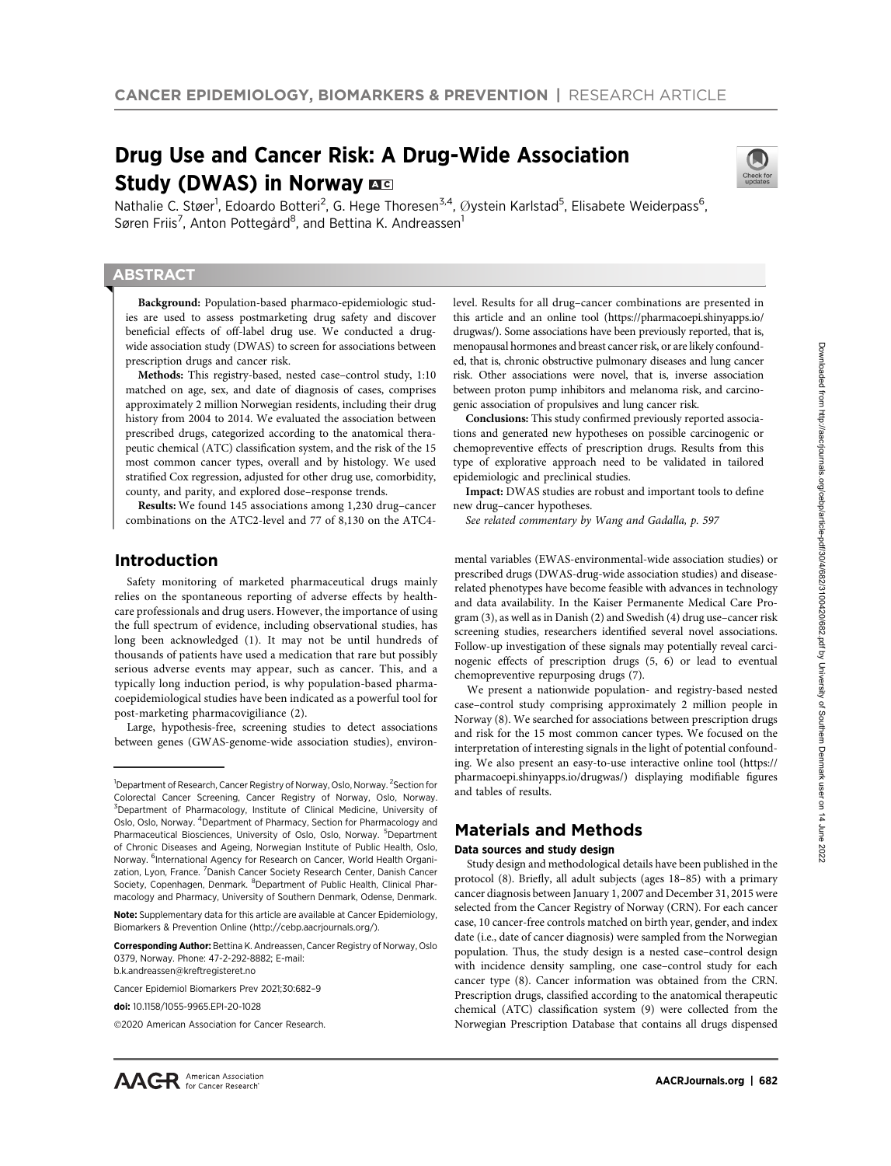# Drug Use and Cancer Risk: A Drug-Wide Association Study (DWAS) in Norway B



Nathalie C. Støer<sup>1</sup>, Edoardo Botteri<sup>2</sup>, G. Hege Thoresen<sup>3,4</sup>, Øystein Karlstad<sup>5</sup>, Elisabete Weiderpass<sup>6</sup>, Søren Friis<sup>7</sup>, Anton Pottegård<sup>8</sup>, and Bettina K. Andreassen<sup>1</sup>

# **ABSTRACT**

◥

Background: Population-based pharmaco-epidemiologic studies are used to assess postmarketing drug safety and discover beneficial effects of off-label drug use. We conducted a drugwide association study (DWAS) to screen for associations between prescription drugs and cancer risk.

Methods: This registry-based, nested case–control study, 1:10 matched on age, sex, and date of diagnosis of cases, comprises approximately 2 million Norwegian residents, including their drug history from 2004 to 2014. We evaluated the association between prescribed drugs, categorized according to the anatomical therapeutic chemical (ATC) classification system, and the risk of the 15 most common cancer types, overall and by histology. We used stratified Cox regression, adjusted for other drug use, comorbidity, county, and parity, and explored dose–response trends.

Results: We found 145 associations among 1,230 drug–cancer combinations on the ATC2-level and 77 of 8,130 on the ATC4-

# Introduction

Safety monitoring of marketed pharmaceutical drugs mainly relies on the spontaneous reporting of adverse effects by healthcare professionals and drug users. However, the importance of using the full spectrum of evidence, including observational studies, has long been acknowledged (1). It may not be until hundreds of thousands of patients have used a medication that rare but possibly serious adverse events may appear, such as cancer. This, and a typically long induction period, is why population-based pharmacoepidemiological studies have been indicated as a powerful tool for post-marketing pharmacovigiliance (2).

Large, hypothesis-free, screening studies to detect associations between genes (GWAS-genome-wide association studies), environ-

Corresponding Author: Bettina K. Andreassen, Cancer Registry of Norway, Oslo 0379, Norway. Phone: 47-2-292-8882; E-mail: b.k.andreassen@kreftregisteret.no

level. Results for all drug–cancer combinations are presented in this article and an online tool [\(https://pharmacoepi.shinyapps.io/](https://pharmacoepi.shinyapps.io/drugwas/) [drugwas/\)](https://pharmacoepi.shinyapps.io/drugwas/). Some associations have been previously reported, that is, menopausal hormones and breast cancer risk, or are likely confounded, that is, chronic obstructive pulmonary diseases and lung cancer risk. Other associations were novel, that is, inverse association between proton pump inhibitors and melanoma risk, and carcinogenic association of propulsives and lung cancer risk.

Conclusions: This study confirmed previously reported associations and generated new hypotheses on possible carcinogenic or chemopreventive effects of prescription drugs. Results from this type of explorative approach need to be validated in tailored epidemiologic and preclinical studies.

Impact: DWAS studies are robust and important tools to define new drug–cancer hypotheses.

See related commentary by Wang and Gadalla, p. 597

mental variables (EWAS-environmental-wide association studies) or prescribed drugs (DWAS-drug-wide association studies) and diseaserelated phenotypes have become feasible with advances in technology and data availability. In the Kaiser Permanente Medical Care Program (3), as well as in Danish (2) and Swedish (4) drug use–cancer risk screening studies, researchers identified several novel associations. Follow-up investigation of these signals may potentially reveal carcinogenic effects of prescription drugs (5, 6) or lead to eventual chemopreventive repurposing drugs (7).

We present a nationwide population- and registry-based nested case–control study comprising approximately 2 million people in Norway (8). We searched for associations between prescription drugs and risk for the 15 most common cancer types. We focused on the interpretation of interesting signals in the light of potential confounding. We also present an easy-to-use interactive online tool ([https://](https://pharmacoepi.shinyapps.io/drugwas/) [pharmacoepi.shinyapps.io/drugwas/\)](https://pharmacoepi.shinyapps.io/drugwas/) displaying modifiable figures and tables of results.

# Materials and Methods

#### Data sources and study design

Study design and methodological details have been published in the protocol (8). Briefly, all adult subjects (ages 18–85) with a primary cancer diagnosis between January 1, 2007 and December 31, 2015 were selected from the Cancer Registry of Norway (CRN). For each cancer case, 10 cancer-free controls matched on birth year, gender, and index date (i.e., date of cancer diagnosis) were sampled from the Norwegian population. Thus, the study design is a nested case–control design with incidence density sampling, one case–control study for each cancer type (8). Cancer information was obtained from the CRN. Prescription drugs, classified according to the anatomical therapeutic chemical (ATC) classification system (9) were collected from the Norwegian Prescription Database that contains all drugs dispensed

<sup>&</sup>lt;sup>1</sup>Department of Research, Cancer Registry of Norway, Oslo, Norway. <sup>2</sup>Section for Colorectal Cancer Screening, Cancer Registry of Norway, Oslo, Norway. <sup>3</sup>Department of Pharmacology, Institute of Clinical Medicine, University of Oslo, Oslo, Norway. <sup>4</sup>Department of Pharmacy, Section for Pharmacology and Pharmaceutical Biosciences, University of Oslo, Oslo, Norway. <sup>5</sup>Department of Chronic Diseases and Ageing, Norwegian Institute of Public Health, Oslo, Norway. <sup>6</sup>International Agency for Research on Cancer, World Health Organization, Lyon, France. <sup>7</sup>Danish Cancer Society Research Center, Danish Cancer Society, Copenhagen, Denmark. <sup>8</sup>Department of Public Health, Clinical Pharmacology and Pharmacy, University of Southern Denmark, Odense, Denmark.

Note: Supplementary data for this article are available at Cancer Epidemiology, Biomarkers & Prevention Online (http://cebp.aacrjournals.org/).

Cancer Epidemiol Biomarkers Prev 2021;30:682–9

doi: 10.1158/1055-9965.EPI-20-1028

<sup>2020</sup> American Association for Cancer Research.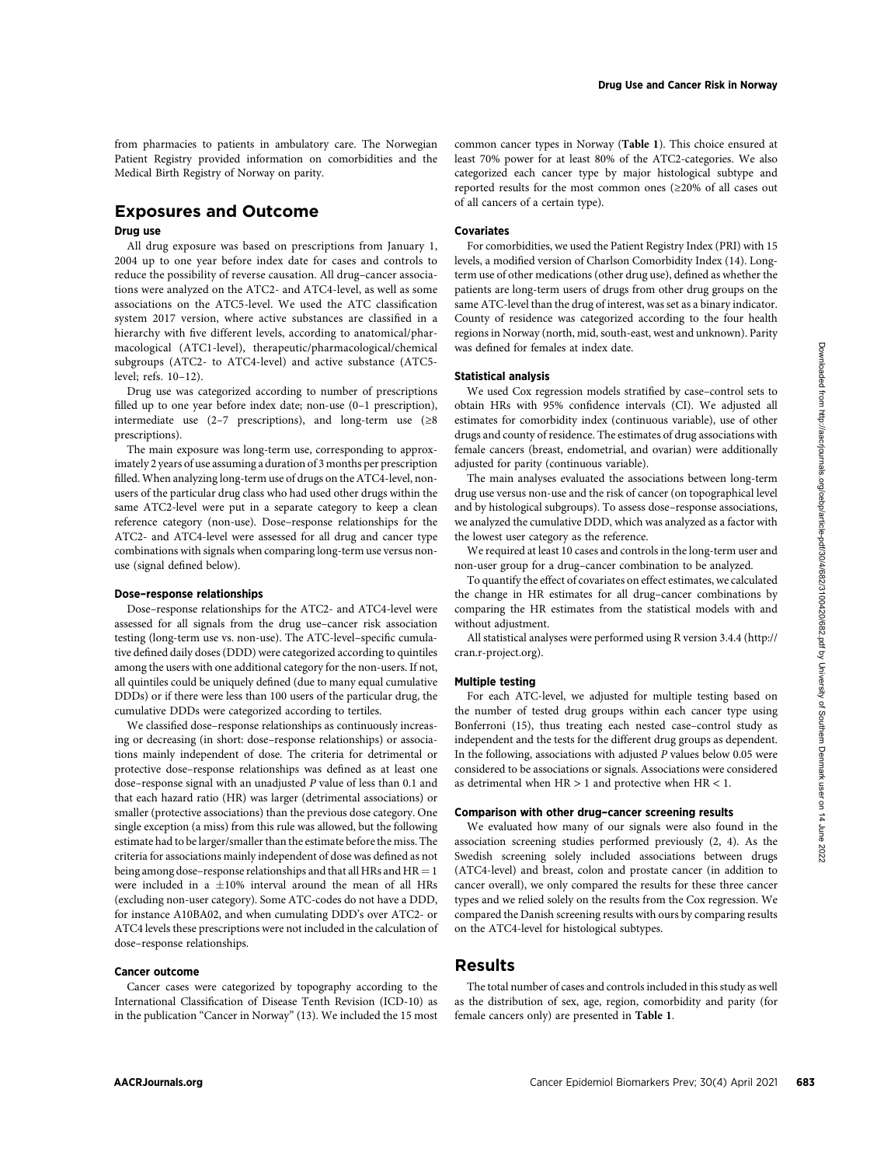from pharmacies to patients in ambulatory care. The Norwegian Patient Registry provided information on comorbidities and the Medical Birth Registry of Norway on parity.

# Exposures and Outcome

# Drug use

All drug exposure was based on prescriptions from January 1, 2004 up to one year before index date for cases and controls to reduce the possibility of reverse causation. All drug–cancer associations were analyzed on the ATC2- and ATC4-level, as well as some associations on the ATC5-level. We used the ATC classification system 2017 version, where active substances are classified in a hierarchy with five different levels, according to anatomical/pharmacological (ATC1-level), therapeutic/pharmacological/chemical subgroups (ATC2- to ATC4-level) and active substance (ATC5 level; refs. 10–12).

Drug use was categorized according to number of prescriptions filled up to one year before index date; non-use (0–1 prescription), intermediate use (2–7 prescriptions), and long-term use ( $\geq 8$ prescriptions).

The main exposure was long-term use, corresponding to approximately 2 years of use assuming a duration of 3 months per prescription filled. When analyzing long-term use of drugs on the ATC4-level, nonusers of the particular drug class who had used other drugs within the same ATC2-level were put in a separate category to keep a clean reference category (non-use). Dose–response relationships for the ATC2- and ATC4-level were assessed for all drug and cancer type combinations with signals when comparing long-term use versus nonuse (signal defined below).

### Dose–response relationships

Dose–response relationships for the ATC2- and ATC4-level were assessed for all signals from the drug use–cancer risk association testing (long-term use vs. non-use). The ATC-level–specific cumulative defined daily doses (DDD) were categorized according to quintiles among the users with one additional category for the non-users. If not, all quintiles could be uniquely defined (due to many equal cumulative DDDs) or if there were less than 100 users of the particular drug, the cumulative DDDs were categorized according to tertiles.

We classified dose–response relationships as continuously increasing or decreasing (in short: dose–response relationships) or associations mainly independent of dose. The criteria for detrimental or protective dose–response relationships was defined as at least one dose–response signal with an unadjusted P value of less than 0.1 and that each hazard ratio (HR) was larger (detrimental associations) or smaller (protective associations) than the previous dose category. One single exception (a miss) from this rule was allowed, but the following estimate had to be larger/smaller than the estimate before the miss. The criteria for associations mainly independent of dose was defined as not being among dose–response relationships and that all HRs and  $HR = 1$ were included in a  $\pm 10\%$  interval around the mean of all HRs (excluding non-user category). Some ATC-codes do not have a DDD, for instance A10BA02, and when cumulating DDD's over ATC2- or ATC4 levels these prescriptions were not included in the calculation of dose–response relationships.

#### Cancer outcome

Cancer cases were categorized by topography according to the International Classification of Disease Tenth Revision (ICD-10) as in the publication "Cancer in Norway" (13). We included the 15 most common cancer types in Norway (Table 1). This choice ensured at least 70% power for at least 80% of the ATC2-categories. We also categorized each cancer type by major histological subtype and reported results for the most common ones (≥20% of all cases out of all cancers of a certain type).

# **Covariates**

For comorbidities, we used the Patient Registry Index (PRI) with 15 levels, a modified version of Charlson Comorbidity Index (14). Longterm use of other medications (other drug use), defined as whether the patients are long-term users of drugs from other drug groups on the same ATC-level than the drug of interest, was set as a binary indicator. County of residence was categorized according to the four health regions in Norway (north, mid, south-east, west and unknown). Parity was defined for females at index date.

#### Statistical analysis

We used Cox regression models stratified by case–control sets to obtain HRs with 95% confidence intervals (CI). We adjusted all estimates for comorbidity index (continuous variable), use of other drugs and county of residence. The estimates of drug associations with female cancers (breast, endometrial, and ovarian) were additionally adjusted for parity (continuous variable).

The main analyses evaluated the associations between long-term drug use versus non-use and the risk of cancer (on topographical level and by histological subgroups). To assess dose–response associations, we analyzed the cumulative DDD, which was analyzed as a factor with the lowest user category as the reference.

We required at least 10 cases and controls in the long-term user and non-user group for a drug–cancer combination to be analyzed.

To quantify the effect of covariates on effect estimates, we calculated the change in HR estimates for all drug–cancer combinations by comparing the HR estimates from the statistical models with and without adjustment.

All statistical analyses were performed using R version 3.4.4 ([http://](http://cran.r-project.org) [cran.r-project.org\)](http://cran.r-project.org).

#### Multiple testing

For each ATC-level, we adjusted for multiple testing based on the number of tested drug groups within each cancer type using Bonferroni (15), thus treating each nested case–control study as independent and the tests for the different drug groups as dependent. In the following, associations with adjusted P values below 0.05 were considered to be associations or signals. Associations were considered as detrimental when  $HR > 1$  and protective when  $HR < 1$ .

#### Comparison with other drug–cancer screening results

We evaluated how many of our signals were also found in the association screening studies performed previously (2, 4). As the Swedish screening solely included associations between drugs (ATC4-level) and breast, colon and prostate cancer (in addition to cancer overall), we only compared the results for these three cancer types and we relied solely on the results from the Cox regression. We compared the Danish screening results with ours by comparing results on the ATC4-level for histological subtypes.

# Results

The total number of cases and controls included in this study as well as the distribution of sex, age, region, comorbidity and parity (for female cancers only) are presented in Table 1.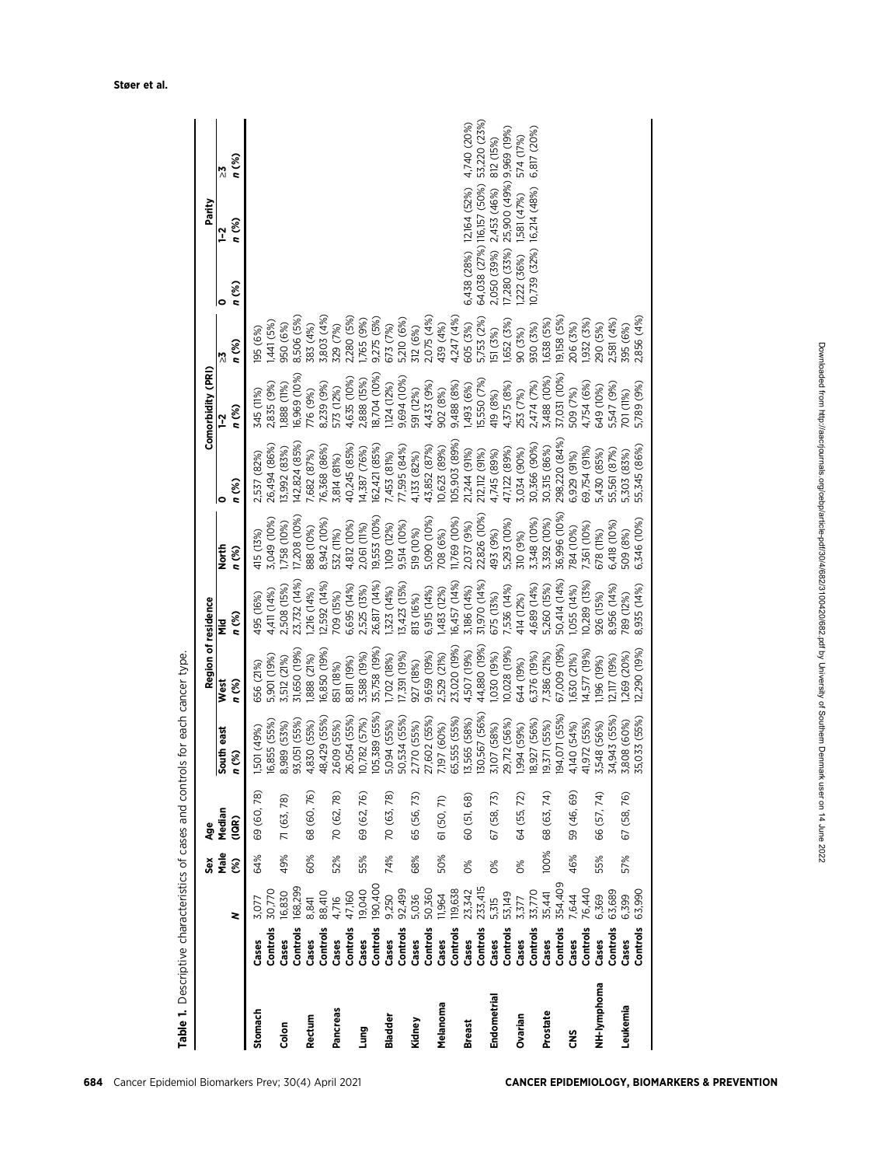|               |          |         | ŠĕX                 | Age         |                  | Region of residence |                       |                         |               | Comorbidity (PRI) |                 |            | Parity                               |              |
|---------------|----------|---------|---------------------|-------------|------------------|---------------------|-----------------------|-------------------------|---------------|-------------------|-----------------|------------|--------------------------------------|--------------|
|               |          |         | Male                | Median      | South east       | West                | Ξ                     | North                   |               | $\overline{1}$    | $\frac{1}{2}$   |            | <u>ገ</u>                             |              |
|               |          | z       | $\hat{\mathcal{E}}$ | (10R)       | n (%)            | n (%)               | n (%)                 | n (%)                   | n (%)         | n (%)             | n (%)           | n (%)      | n (%)                                | n (%)        |
| Stomach       | Cases    | 3,077   | 64%                 | 69 (60,78)  | 1,501 (49%)      | 656 (21%)           | 495 (16%)             | 415 (13%)               | 2,537 (82%)   | 345 (11%)         | 195 (6%)        |            |                                      |              |
|               | Controls | 30,770  |                     |             | 16,855 (55%)     | 5,901 (19%)         | 4,411 (14%)           | 3,049 (10%)             | 26,494 (86%)  | ,835 (9%)         | ,441(5%         |            |                                      |              |
| Colon         | Cases    | 16,830  | 49%                 | 71 (63, 78) | 8,989 (53%)      | 3,512 (21%)         | 2,508 (15%)           | ,758 (10%)              | 13,992 (83%)  | ,888 (11%)        | 950 (6%)        |            |                                      |              |
|               | Controls | 168,299 |                     |             | 93,051 (55%)     | 31,650 (19%)        | 23,732 (14%)          | 7,208 (10%)             | I42,824 (85%) | 6,969 (10%)       | 8,506 (5%)      |            |                                      |              |
| Rectum        | Cases    | 8,841   | 60%                 | 68 (60,76)  | 4,830 (55%)      | 888 (21%)           | (4%) 912              | 888 (10%)               | 7,682 (87%)   | 76 (9%)           | (%) 188         |            |                                      |              |
|               | Controls | 88,410  |                     |             | 48,429 (55%)     | 16,850 (19%)        | 12,592 (14%)          | 8,942 (10%)             | 76,368 (86%)  | 8,239 (9%)        | 3,803 (4%)      |            |                                      |              |
| Pancreas      | Cases    | 4,716   | 52%                 | 70 (62, 78) | 2,609 (55%)      | 851 (18%)           | 709 (15%)             | 532 (11%)               | 3,814 (81%)   | 573 (12%)         | <b>829 (7%)</b> |            |                                      |              |
|               | Controls | 47,160  |                     |             | 26,054 (55%)     | 8,811 (19%)         | 6,695 (14%)           | 4,812 (10%)             | 40,245 (85%   | 4,635 (10%)       | 2,280 (5%)      |            |                                      |              |
| Lung          | Cases    | 19,040  | 55%                 | 69 (62, 76) | 10,782 (57%)     | 3,588 (19%)         | 2,525 (13%)           | 2,061 (11%)             | 4,387 (76%)   | 2,888 (15%)       | 765 (9%)        |            |                                      |              |
|               | Controls | 190,400 |                     |             | (55%)<br>105,389 | 35,758 (19%)        | 26,817 (14%)          | 9,553 (10%)             | 62,421 (85%)  | 8,704 (10%)       | 9,275 (5%)      |            |                                      |              |
| Bladder       | Cases    | 9,250   | 74%                 | 70 (63, 78) | 5,094 (55%)      | (%8) 202)           | (%1) 223(             | ,109 (12%)              | 7,453 (81%)   | ,124(12%)         | 673 (7%)        |            |                                      |              |
|               | Controls | 92,499  |                     |             | 50,534 (55%)     | 17,391 (19%)        | 13,423 (15%)          | 9,514 (10%)             | 77,595 (84%)  | 9,694 (10%)       | 5,210 (6%)      |            |                                      |              |
| Kidney        | Cases    | 5,036   | 68%                 | 65 (56,73)  | 2,770 (55%)      | 927 (18%)           | 813 (16%)             | 519 (10%)               | 4,133 (82%)   | 591 (12%)         | 312 (6%)        |            |                                      |              |
|               | Controls | 50,360  |                     |             | 27,602 (55%)     | 9,659 (19%)         | 6,915 (14%)           | 5,090 (10%)             | 43,852 (87%)  | 4,433 (9%)        | 2,075 (4%)      |            |                                      |              |
| Melanoma      | Cases    | 11,964  | 50%                 | 61 (50, 71) | 7,197 (60%)      | 2,529 (21%)         | 1,483 (12%)           | 08 (6%)                 | 0,623 (89%)   | 902 (8%)          | 139 (4%)        |            |                                      |              |
|               | Controls | 119,638 |                     |             | 65,555 (55%)     | 23,020 (19%)        | 6,457 (14%)           | 1,769 (10%)             | 05,903 (89%)  | 9,488 (8%)        | 4,247 (4%)      |            |                                      |              |
| <b>Breast</b> | Cases    | 23,342  | $\frac{6}{20}$      | 60 (51, 68) | 13,565 (58%)     | 4,507 (19%)         | 3,186 (14%)           | 2,037 (9%)              | 21,244 (91%)  | ,493 (6%)         | 505 (3%)        |            | 6,438 (28%) 12,164 (52%)             | 4,740 (20%)  |
|               | Controls | 233,415 |                     |             | (56%)<br>130,567 | 44,880 (19%)        | 31,970 (14%)          | 22,826 (10%)            | 212,112 (91%) | 5,550 (7%)        | 5,753 (2%)      |            | 64,038 (27%) 116,157 (50%)           | 53,220 (23%) |
| Endometrial   | Cases    | 5,315   | $\frac{8}{3}$       | 67 (58, 73) | 3,107 (58%)      | (%61) 020           | 675 (13%)             | 493 (9%)                | 4,745 (89%)   | 119 (8%)          | 51 (3%)         |            | 2,050 (39%) 2,453 (46%)              | 812 (15%)    |
|               | Controls | 53,149  |                     |             | 29,712 (56%)     | 10,028 (19%)        | 7,536 (14%)           | 5,293 (10%)             | 47,122 (89%)  | .375(8%)          | ,652 (3%)       |            | 7,280 (33%) 25,900 (49%) 9,969 (19%) |              |
| Ovarian       | Cases    | 3,377   | $\frac{8}{3}$       | 64 (55, 72) | (%65) 766        | 644 (19%)           | 414 (12%)             |                         | 3,034 (90%)   | 53 (7%)           | 90 (3%)         | (222 (36%) | 1,581 (47%)                          | 574 (17%)    |
|               | Controls | 33,770  |                     |             | 18,927 (56%)     | 6,376 (19%)         | 4,689 (14%)           | 310 (9%)<br>3,348 (10%) | 30,366 (90%)  | 2,474 (7%)        | (%2) 026        |            | (0,739 (32%) 16,214 (48%)            | 6,817 (20%)  |
| Prostate      | Cases    | 35,441  | 100%                | 68 (63, 74) | 19,371 (55%)     | ,386 (21%)          | 5,260 (15%)           | 3,392 (10%)             | 30,315 (86%)  | \$,488 (10%)      | ,638 (5%)       |            |                                      |              |
|               | Controls | 354,409 |                     |             | 194,071 (55%)    | 67,009 (19%)        | 50,414 (14%)          | 36,996 (10%)            | 298,220 (84%) | 37,031 (10%)      | 9,158 (5%       |            |                                      |              |
| ឌ             | Cases    | 7,644   | 46%                 | 59 (46, 69) | 4,140 (54%)      | 630 (21%)           | (%b) 55(14)           | 784 (10%)               | 6,929 (91%)   | 509 (7%)          | 206 (3%)        |            |                                      |              |
|               | Controls | 76,440  |                     |             | 41,972 (55%)     | 4,577 (19%)         | 10,289 (13%)          | ,361 (10%)              | 69,754 (91%)  | 4,754 (6%)        | ,932 (3%)       |            |                                      |              |
| NH-lymphoma   | Cases    | 6,369   | 55%                 | 66 (57, 74) | 3,548 (56%)      | ,196 (19%)          | 926 (15%)             | 678 (11%)               | 5,430 (85%)   | 549 (10%)         | 290 (5%)        |            |                                      |              |
|               | Controls | 63,689  |                     |             | 34,943 (55%)     | 2,117 (19%)         | 8,956 (14%)           | 6,418 (10%)             | 55,561 (87%)  | 5,547 (9%)        | ,581 (4%)       |            |                                      |              |
| Leukemia      | Cases    | 6,399   | 57%                 | 67 (58, 76) | 3,808 (60%)      | 269 (20%)           | <sup>7</sup> 89 (12%) | 509 (8%)                | 5,303 (83%)   | <b>01 (11%)</b>   | <b>195 (6%)</b> |            |                                      |              |
|               | Controls | 63,990  |                     |             | 35,033 (55%)     | 2,290 (19%)         | 8,935 (14%)           | 6,346 (10%)             | 55,345 (86%)  | 5,789 (9%)        | 2,856 (4%)      |            |                                      |              |

Table 1. Descriptive characteristics of cases and controls for each cancer type.

Table 1. Descriptive characteristics of cases and controls for each cancer type.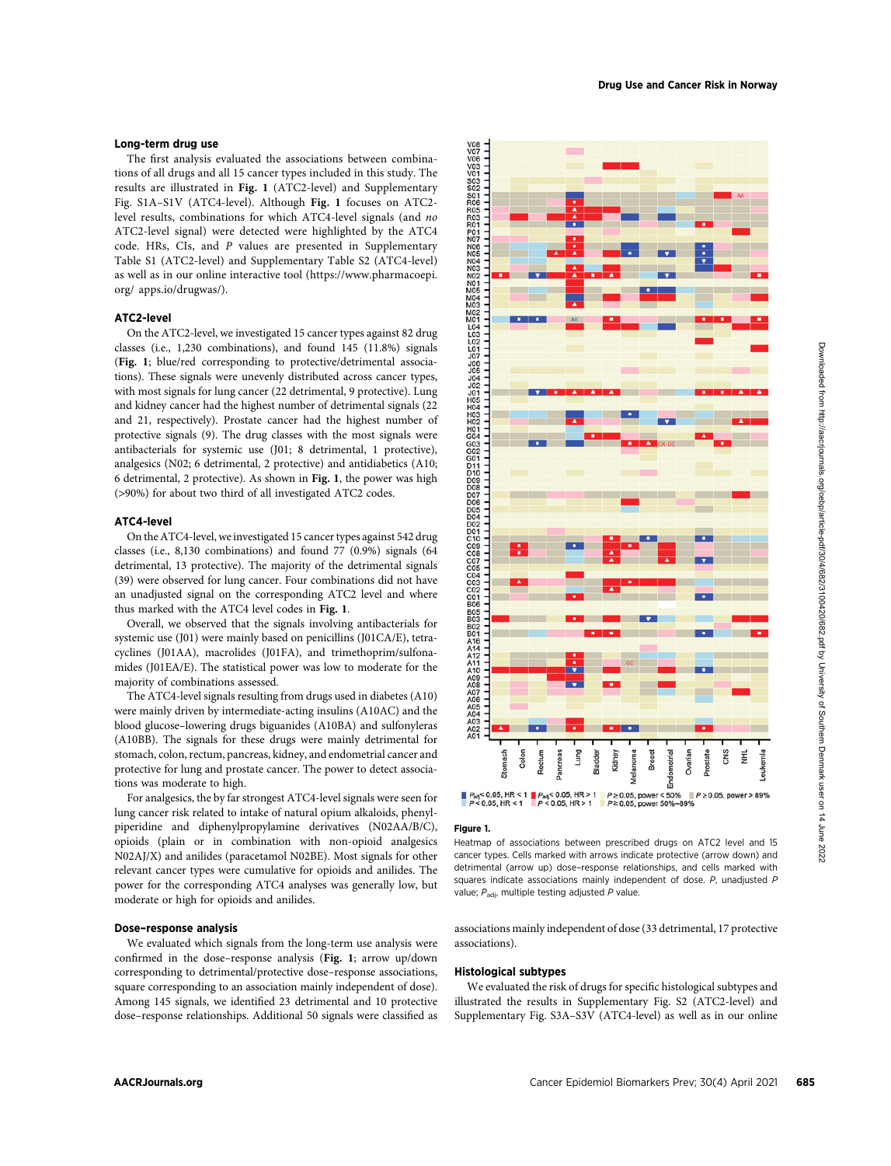## Long-term drug use

The first analysis evaluated the associations between combinations of all drugs and all 15 cancer types included in this study. The results are illustrated in Fig. 1 (ATC2-level) and Supplementary Fig. S1A–S1V (ATC4-level). Although Fig. 1 focuses on ATC2 level results, combinations for which ATC4-level signals (and no ATC2-level signal) were detected were highlighted by the ATC4 code. HRs, CIs, and P values are presented in Supplementary Table S1 (ATC2-level) and Supplementary Table S2 (ATC4-level) as well as in our online interactive tool [\(https://www.pharmacoepi.](https://www.pharmacoepi.org/) [org/](https://www.pharmacoepi.org/) apps.io/drugwas/).

#### ATC2-level

On the ATC2-level, we investigated 15 cancer types against 82 drug classes (i.e., 1,230 combinations), and found 145 (11.8%) signals (Fig. 1; blue/red corresponding to protective/detrimental associations). These signals were unevenly distributed across cancer types, with most signals for lung cancer (22 detrimental, 9 protective). Lung and kidney cancer had the highest number of detrimental signals (22 and 21, respectively). Prostate cancer had the highest number of protective signals (9). The drug classes with the most signals were antibacterials for systemic use (J01; 8 detrimental, 1 protective), analgesics (N02; 6 detrimental, 2 protective) and antidiabetics (A10; 6 detrimental, 2 protective). As shown in Fig. 1, the power was high (>90%) for about two third of all investigated ATC2 codes.

### ATC4-level

On the ATC4-level, we investigated 15 cancer types against 542 drug classes (i.e., 8,130 combinations) and found 77 (0.9%) signals (64 detrimental, 13 protective). The majority of the detrimental signals (39) were observed for lung cancer. Four combinations did not have an unadjusted signal on the corresponding ATC2 level and where thus marked with the ATC4 level codes in Fig. 1.

Overall, we observed that the signals involving antibacterials for systemic use (J01) were mainly based on penicillins (J01CA/E), tetracyclines (J01AA), macrolides (J01FA), and trimethoprim/sulfonamides (J01EA/E). The statistical power was low to moderate for the majority of combinations assessed.

The ATC4-level signals resulting from drugs used in diabetes (A10) were mainly driven by intermediate-acting insulins (A10AC) and the blood glucose–lowering drugs biguanides (A10BA) and sulfonyleras (A10BB). The signals for these drugs were mainly detrimental for stomach, colon, rectum, pancreas, kidney, and endometrial cancer and protective for lung and prostate cancer. The power to detect associations was moderate to high.

For analgesics, the by far strongest ATC4-level signals were seen for lung cancer risk related to intake of natural opium alkaloids, phenylpiperidine and diphenylpropylamine derivatives (N02AA/B/C), opioids (plain or in combination with non-opioid analgesics N02AJ/X) and anilides (paracetamol N02BE). Most signals for other relevant cancer types were cumulative for opioids and anilides. The power for the corresponding ATC4 analyses was generally low, but moderate or high for opioids and anilides.

# Dose–response analysis

We evaluated which signals from the long-term use analysis were confirmed in the dose–response analysis (Fig. 1; arrow up/down corresponding to detrimental/protective dose–response associations, square corresponding to an association mainly independent of dose). Among 145 signals, we identified 23 detrimental and 10 protective dose–response relationships. Additional 50 signals were classified as



#### Figure 1.

Heatmap of associations between prescribed drugs on ATC2 level and 15 cancer types. Cells marked with arrows indicate protective (arrow down) and detrimental (arrow up) dose–response relationships, and cells marked with squares indicate associations mainly independent of dose. P, unadjusted P value;  $P_{\text{adi}}$ , multiple testing adjusted P value.

associations mainly independent of dose (33 detrimental, 17 protective associations).

### Histological subtypes

We evaluated the risk of drugs for specific histological subtypes and illustrated the results in Supplementary Fig. S2 (ATC2-level) and Supplementary Fig. S3A–S3V (ATC4-level) as well as in our online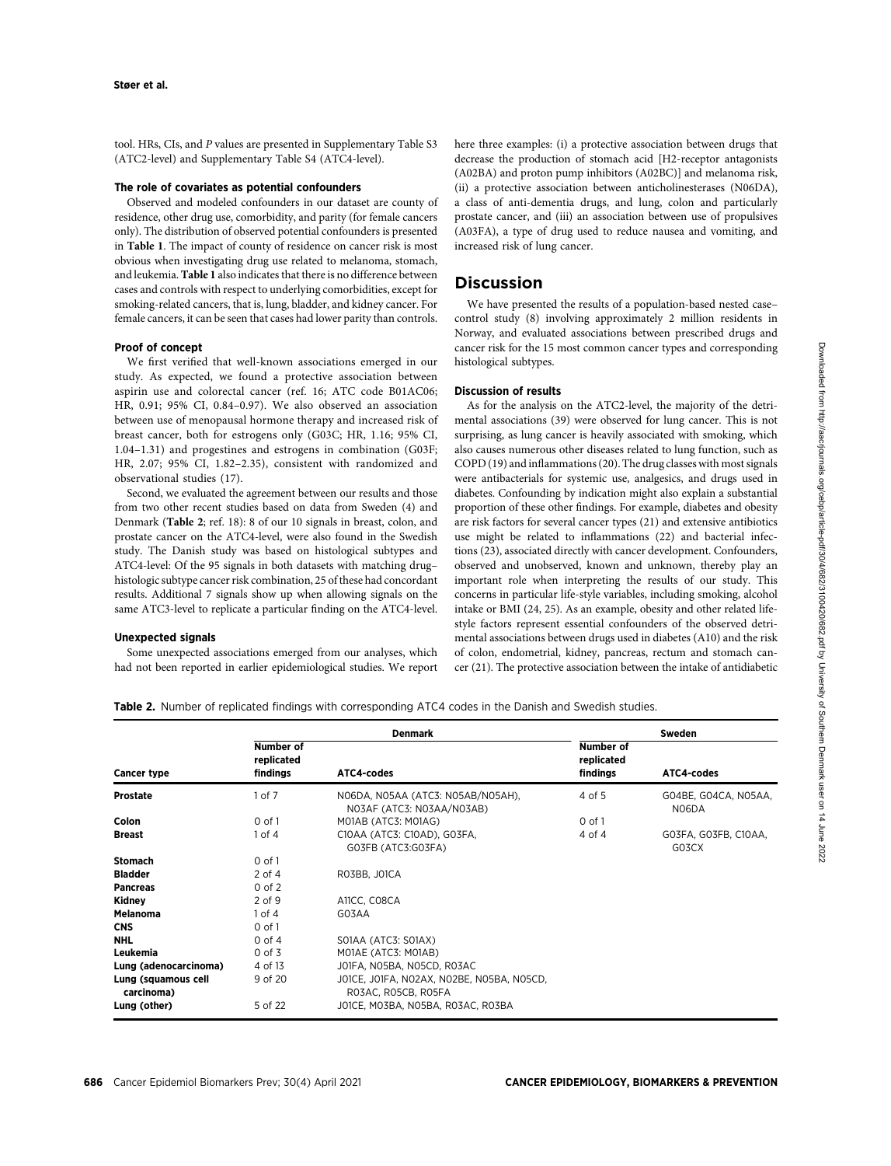tool. HRs, CIs, and P values are presented in Supplementary Table S3 (ATC2-level) and Supplementary Table S4 (ATC4-level).

#### The role of covariates as potential confounders

Observed and modeled confounders in our dataset are county of residence, other drug use, comorbidity, and parity (for female cancers only). The distribution of observed potential confounders is presented in Table 1. The impact of county of residence on cancer risk is most obvious when investigating drug use related to melanoma, stomach, and leukemia. Table 1 also indicates that there is no difference between cases and controls with respect to underlying comorbidities, except for smoking-related cancers, that is, lung, bladder, and kidney cancer. For female cancers, it can be seen that cases had lower parity than controls.

#### Proof of concept

We first verified that well-known associations emerged in our study. As expected, we found a protective association between aspirin use and colorectal cancer (ref. 16; ATC code B01AC06; HR, 0.91; 95% CI, 0.84–0.97). We also observed an association between use of menopausal hormone therapy and increased risk of breast cancer, both for estrogens only (G03C; HR, 1.16; 95% CI, 1.04–1.31) and progestines and estrogens in combination (G03F; HR, 2.07; 95% CI, 1.82–2.35), consistent with randomized and observational studies (17).

Second, we evaluated the agreement between our results and those from two other recent studies based on data from Sweden (4) and Denmark (Table 2; ref. 18): 8 of our 10 signals in breast, colon, and prostate cancer on the ATC4-level, were also found in the Swedish study. The Danish study was based on histological subtypes and ATC4-level: Of the 95 signals in both datasets with matching drug– histologic subtype cancer risk combination, 25 of these had concordant results. Additional 7 signals show up when allowing signals on the same ATC3-level to replicate a particular finding on the ATC4-level.

# Unexpected signals

Some unexpected associations emerged from our analyses, which had not been reported in earlier epidemiological studies. We report here three examples: (i) a protective association between drugs that decrease the production of stomach acid [H2-receptor antagonists (A02BA) and proton pump inhibitors (A02BC)] and melanoma risk, (ii) a protective association between anticholinesterases (N06DA), a class of anti-dementia drugs, and lung, colon and particularly prostate cancer, and (iii) an association between use of propulsives (A03FA), a type of drug used to reduce nausea and vomiting, and increased risk of lung cancer.

# Discussion

We have presented the results of a population-based nested case– control study (8) involving approximately 2 million residents in Norway, and evaluated associations between prescribed drugs and cancer risk for the 15 most common cancer types and corresponding histological subtypes.

#### Discussion of results

As for the analysis on the ATC2-level, the majority of the detrimental associations (39) were observed for lung cancer. This is not surprising, as lung cancer is heavily associated with smoking, which also causes numerous other diseases related to lung function, such as COPD (19) and inflammations (20). The drug classes with most signals were antibacterials for systemic use, analgesics, and drugs used in diabetes. Confounding by indication might also explain a substantial proportion of these other findings. For example, diabetes and obesity are risk factors for several cancer types (21) and extensive antibiotics use might be related to inflammations (22) and bacterial infections (23), associated directly with cancer development. Confounders, observed and unobserved, known and unknown, thereby play an important role when interpreting the results of our study. This concerns in particular life-style variables, including smoking, alcohol intake or BMI (24, 25). As an example, obesity and other related lifestyle factors represent essential confounders of the observed detrimental associations between drugs used in diabetes (A10) and the risk of colon, endometrial, kidney, pancreas, rectum and stomach cancer (21). The protective association between the intake of antidiabetic

Table 2. Number of replicated findings with corresponding ATC4 codes in the Danish and Swedish studies.

|                                   |                                            | <b>Denmark</b>                                                   |                                            | Sweden                        |
|-----------------------------------|--------------------------------------------|------------------------------------------------------------------|--------------------------------------------|-------------------------------|
| <b>Cancer type</b>                | <b>Number of</b><br>replicated<br>findings | ATC4-codes                                                       | <b>Number of</b><br>replicated<br>findings | ATC4-codes                    |
| <b>Prostate</b>                   | $1$ of $7$                                 | NO6DA, NO5AA (ATC3: NO5AB/NO5AH),<br>NO3AF (ATC3: NO3AA/NO3AB)   | 4 of 5                                     | GO4BE, GO4CA, NO5AA,<br>N06DA |
| Colon                             | $0$ of $1$                                 | MOIAB (ATC3: MOIAG)                                              | $0$ of $1$                                 |                               |
| <b>Breast</b>                     | $1$ of $4$                                 | C10AA (ATC3: C10AD), G03FA,<br>GO3FB (ATC3:GO3FA)                | 4 of 4                                     | GO3FA, GO3FB, C10AA,<br>G03CX |
| <b>Stomach</b>                    | $0$ of $1$                                 |                                                                  |                                            |                               |
| <b>Bladder</b>                    | 2 of 4                                     | RO3BB, JOICA                                                     |                                            |                               |
| <b>Pancreas</b>                   | $0$ of $2$                                 |                                                                  |                                            |                               |
| Kidney                            | 2 of 9                                     | A11CC, CO8CA                                                     |                                            |                               |
| <b>Melanoma</b>                   | $1$ of $4$                                 | G03AA                                                            |                                            |                               |
| <b>CNS</b>                        | $0$ of $1$                                 |                                                                  |                                            |                               |
| <b>NHL</b>                        | $0$ of $4$                                 | SOIAA (ATC3: SOIAX)                                              |                                            |                               |
| Leukemia                          | $0$ of $3$                                 | MOIAE (ATC3: MOIAB)                                              |                                            |                               |
| Lung (adenocarcinoma)             | 4 of 13                                    | JO1FA, NO5BA, NO5CD, RO3AC                                       |                                            |                               |
| Lung (squamous cell<br>carcinoma) | 9 of 20                                    | JO1CE, JO1FA, NO2AX, NO2BE, NO5BA, NO5CD,<br>RO3AC, RO5CB, RO5FA |                                            |                               |
| Lung (other)                      | 5 of 22                                    | JOICE, MO3BA, NO5BA, RO3AC, RO3BA                                |                                            |                               |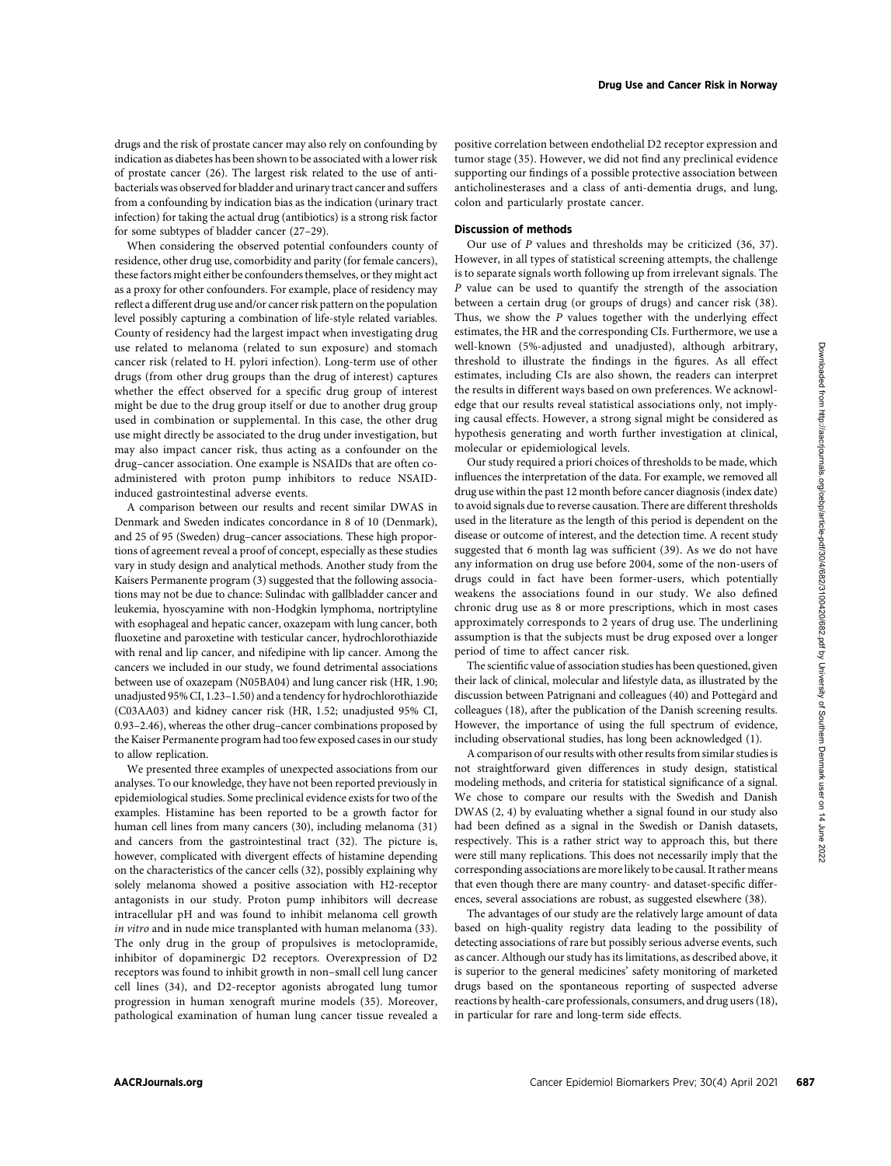drugs and the risk of prostate cancer may also rely on confounding by indication as diabetes has been shown to be associated with a lower risk of prostate cancer (26). The largest risk related to the use of antibacterials was observed for bladder and urinary tract cancer and suffers from a confounding by indication bias as the indication (urinary tract infection) for taking the actual drug (antibiotics) is a strong risk factor for some subtypes of bladder cancer (27–29).

When considering the observed potential confounders county of residence, other drug use, comorbidity and parity (for female cancers), these factors might either be confounders themselves, or they might act as a proxy for other confounders. For example, place of residency may reflect a different drug use and/or cancer risk pattern on the population level possibly capturing a combination of life-style related variables. County of residency had the largest impact when investigating drug use related to melanoma (related to sun exposure) and stomach cancer risk (related to H. pylori infection). Long-term use of other drugs (from other drug groups than the drug of interest) captures whether the effect observed for a specific drug group of interest might be due to the drug group itself or due to another drug group used in combination or supplemental. In this case, the other drug use might directly be associated to the drug under investigation, but may also impact cancer risk, thus acting as a confounder on the drug–cancer association. One example is NSAIDs that are often coadministered with proton pump inhibitors to reduce NSAIDinduced gastrointestinal adverse events.

A comparison between our results and recent similar DWAS in Denmark and Sweden indicates concordance in 8 of 10 (Denmark), and 25 of 95 (Sweden) drug–cancer associations. These high proportions of agreement reveal a proof of concept, especially as these studies vary in study design and analytical methods. Another study from the Kaisers Permanente program (3) suggested that the following associations may not be due to chance: Sulindac with gallbladder cancer and leukemia, hyoscyamine with non-Hodgkin lymphoma, nortriptyline with esophageal and hepatic cancer, oxazepam with lung cancer, both fluoxetine and paroxetine with testicular cancer, hydrochlorothiazide with renal and lip cancer, and nifedipine with lip cancer. Among the cancers we included in our study, we found detrimental associations between use of oxazepam (N05BA04) and lung cancer risk (HR, 1.90; unadjusted 95% CI, 1.23–1.50) and a tendency for hydrochlorothiazide (C03AA03) and kidney cancer risk (HR, 1.52; unadjusted 95% CI, 0.93–2.46), whereas the other drug–cancer combinations proposed by the Kaiser Permanente program had too few exposed cases in our study to allow replication.

We presented three examples of unexpected associations from our analyses. To our knowledge, they have not been reported previously in epidemiological studies. Some preclinical evidence exists for two of the examples. Histamine has been reported to be a growth factor for human cell lines from many cancers (30), including melanoma (31) and cancers from the gastrointestinal tract (32). The picture is, however, complicated with divergent effects of histamine depending on the characteristics of the cancer cells (32), possibly explaining why solely melanoma showed a positive association with H2-receptor antagonists in our study. Proton pump inhibitors will decrease intracellular pH and was found to inhibit melanoma cell growth in vitro and in nude mice transplanted with human melanoma (33). The only drug in the group of propulsives is metoclopramide, inhibitor of dopaminergic D2 receptors. Overexpression of D2 receptors was found to inhibit growth in non–small cell lung cancer cell lines (34), and D2-receptor agonists abrogated lung tumor progression in human xenograft murine models (35). Moreover, pathological examination of human lung cancer tissue revealed a positive correlation between endothelial D2 receptor expression and tumor stage (35). However, we did not find any preclinical evidence supporting our findings of a possible protective association between anticholinesterases and a class of anti-dementia drugs, and lung, colon and particularly prostate cancer.

## Discussion of methods

Our use of P values and thresholds may be criticized (36, 37). However, in all types of statistical screening attempts, the challenge is to separate signals worth following up from irrelevant signals. The P value can be used to quantify the strength of the association between a certain drug (or groups of drugs) and cancer risk (38). Thus, we show the P values together with the underlying effect estimates, the HR and the corresponding CIs. Furthermore, we use a well-known (5%-adjusted and unadjusted), although arbitrary, threshold to illustrate the findings in the figures. As all effect estimates, including CIs are also shown, the readers can interpret the results in different ways based on own preferences. We acknowledge that our results reveal statistical associations only, not implying causal effects. However, a strong signal might be considered as hypothesis generating and worth further investigation at clinical, molecular or epidemiological levels.

Our study required a priori choices of thresholds to be made, which influences the interpretation of the data. For example, we removed all drug use within the past 12 month before cancer diagnosis (index date) to avoid signals due to reverse causation. There are different thresholds used in the literature as the length of this period is dependent on the disease or outcome of interest, and the detection time. A recent study suggested that 6 month lag was sufficient (39). As we do not have any information on drug use before 2004, some of the non-users of drugs could in fact have been former-users, which potentially weakens the associations found in our study. We also defined chronic drug use as 8 or more prescriptions, which in most cases approximately corresponds to 2 years of drug use. The underlining assumption is that the subjects must be drug exposed over a longer period of time to affect cancer risk.

The scientific value of association studies has been questioned, given their lack of clinical, molecular and lifestyle data, as illustrated by the discussion between Patrignani and colleagues (40) and Pottegård and colleagues (18), after the publication of the Danish screening results. However, the importance of using the full spectrum of evidence, including observational studies, has long been acknowledged (1).

A comparison of our results with other results from similar studies is not straightforward given differences in study design, statistical modeling methods, and criteria for statistical significance of a signal. We chose to compare our results with the Swedish and Danish DWAS (2, 4) by evaluating whether a signal found in our study also had been defined as a signal in the Swedish or Danish datasets, respectively. This is a rather strict way to approach this, but there were still many replications. This does not necessarily imply that the corresponding associations are more likely to be causal. It rather means that even though there are many country- and dataset-specific differences, several associations are robust, as suggested elsewhere (38).

The advantages of our study are the relatively large amount of data based on high-quality registry data leading to the possibility of detecting associations of rare but possibly serious adverse events, such as cancer. Although our study has its limitations, as described above, it is superior to the general medicines' safety monitoring of marketed drugs based on the spontaneous reporting of suspected adverse reactions by health-care professionals, consumers, and drug users (18), in particular for rare and long-term side effects.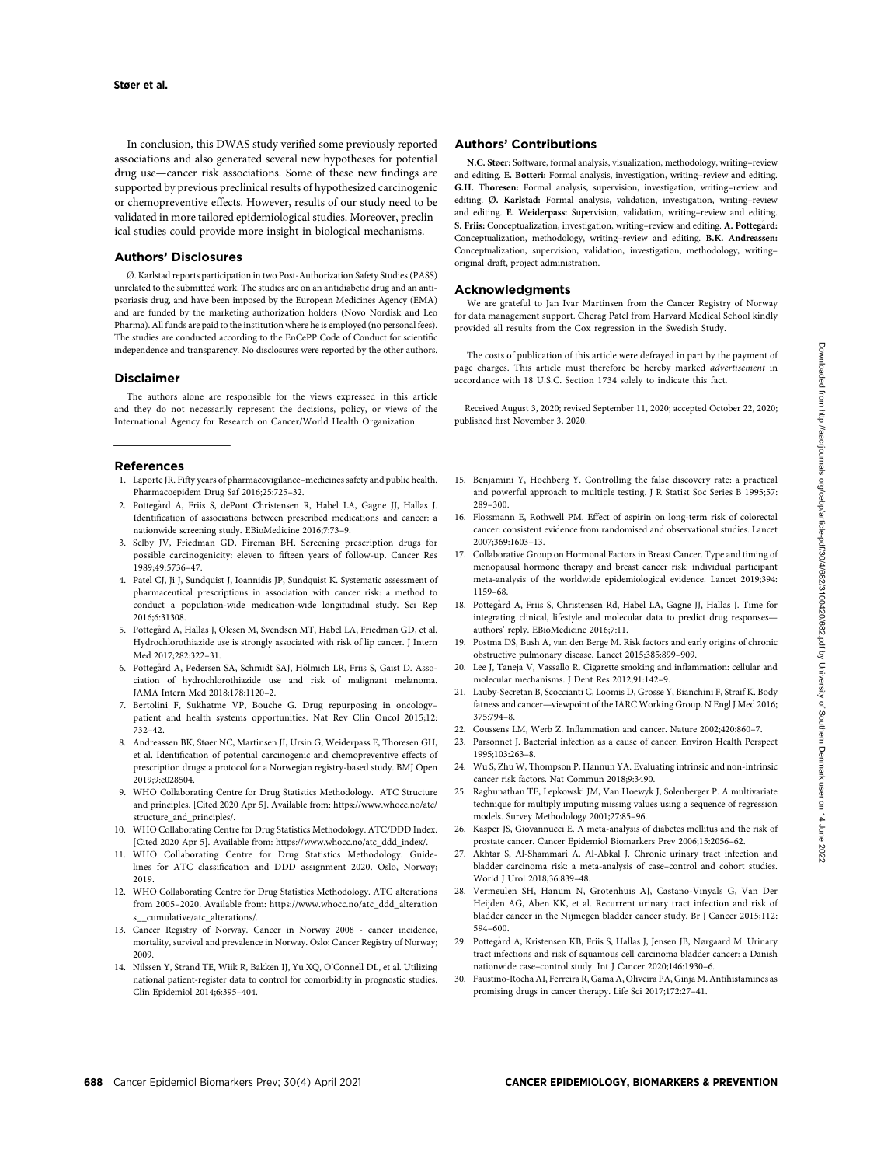In conclusion, this DWAS study verified some previously reported associations and also generated several new hypotheses for potential drug use—cancer risk associations. Some of these new findings are supported by previous preclinical results of hypothesized carcinogenic or chemopreventive effects. However, results of our study need to be validated in more tailored epidemiological studies. Moreover, preclinical studies could provide more insight in biological mechanisms.

## Authors' Disclosures

. Karlstad reports participation in two Post-Authorization Safety Studies (PASS) unrelated to the submitted work. The studies are on an antidiabetic drug and an antipsoriasis drug, and have been imposed by the European Medicines Agency (EMA) and are funded by the marketing authorization holders (Novo Nordisk and Leo Pharma). All funds are paid to the institution where he is employed (no personal fees). The studies are conducted according to the EnCePP Code of Conduct for scientific independence and transparency. No disclosures were reported by the other authors.

#### Disclaimer

The authors alone are responsible for the views expressed in this article and they do not necessarily represent the decisions, policy, or views of the International Agency for Research on Cancer/World Health Organization.

#### References

- 1. Laporte JR. Fifty years of pharmacovigilance–medicines safety and public health. Pharmacoepidem Drug Saf 2016;25:725–32.
- 2. Pottega rd A, Friis S, dePont Christensen R, Habel LA, Gagne JJ, Hallas J. Identification of associations between prescribed medications and cancer: a nationwide screening study. EBioMedicine 2016;7:73–9.
- 3. Selby JV, Friedman GD, Fireman BH. Screening prescription drugs for possible carcinogenicity: eleven to fifteen years of follow-up. Cancer Res 1989;49:5736–47.
- 4. Patel CJ, Ji J, Sundquist J, Ioannidis JP, Sundquist K. Systematic assessment of pharmaceutical prescriptions in association with cancer risk: a method to conduct a population-wide medication-wide longitudinal study. Sci Rep 2016;6:31308.
- 5. Pottega rd A, Hallas J, Olesen M, Svendsen MT, Habel LA, Friedman GD, et al. Hydrochlorothiazide use is strongly associated with risk of lip cancer. J Intern Med 2017;282:322-31.
- 6. Pottegård A, Pedersen SA, Schmidt SAJ, Hölmich LR, Friis S, Gaist D. Association of hydrochlorothiazide use and risk of malignant melanoma. JAMA Intern Med 2018;178:1120–2.
- 7. Bertolini F, Sukhatme VP, Bouche G. Drug repurposing in oncology– patient and health systems opportunities. Nat Rev Clin Oncol 2015;12: 732–42.
- 8. Andreassen BK, Støer NC, Martinsen JI, Ursin G, Weiderpass E, Thoresen GH, et al. Identification of potential carcinogenic and chemopreventive effects of prescription drugs: a protocol for a Norwegian registry-based study. BMJ Open 2019;9:e028504.
- 9. WHO Collaborating Centre for Drug Statistics Methodology. ATC Structure and principles. [Cited 2020 Apr 5]. Available from: [https://www.whocc.no/atc/](https://www.whocc.no/atc/structure_and_principles/) [structure\\_and\\_principles/](https://www.whocc.no/atc/structure_and_principles/).
- 10. WHO Collaborating Centre for Drug Statistics Methodology. ATC/DDD Index. [Cited 2020 Apr 5]. Available from: [https://www.whocc.no/atc\\_ddd\\_index/.](https://www.whocc.no/atc_ddd_index/)
- 11. WHO Collaborating Centre for Drug Statistics Methodology. Guidelines for ATC classification and DDD assignment 2020. Oslo, Norway; 2019.
- 12. WHO Collaborating Centre for Drug Statistics Methodology. ATC alterations from 2005–2020. Available from: [https://www.whocc.no/atc\\_ddd\\_alteration](https://www.whocc.no/atc_ddd_alterations__cumulative/atc_alterations/) [s\\_\\_cumulative/atc\\_alterations/](https://www.whocc.no/atc_ddd_alterations__cumulative/atc_alterations/).
- 13. Cancer Registry of Norway. Cancer in Norway 2008 cancer incidence, mortality, survival and prevalence in Norway. Oslo: Cancer Registry of Norway; 2009.
- 14. Nilssen Y, Strand TE, Wiik R, Bakken IJ, Yu XQ, O'Connell DL, et al. Utilizing national patient-register data to control for comorbidity in prognostic studies. Clin Epidemiol 2014;6:395–404.

#### Authors' Contributions

N.C. Støer: Software, formal analysis, visualization, methodology, writing–review and editing. E. Botteri: Formal analysis, investigation, writing–review and editing. G.H. Thoresen: Formal analysis, supervision, investigation, writing–review and editing.  $\emptyset$ . Karlstad: Formal analysis, validation, investigation, writing–review and editing. E. Weiderpass: Supervision, validation, writing–review and editing. S. Friis: Conceptualization, investigation, writing–review and editing. A. Pottega rd: Conceptualization, methodology, writing–review and editing. B.K. Andreassen: Conceptualization, supervision, validation, investigation, methodology, writing– original draft, project administration.

#### Acknowledgments

We are grateful to Jan Ivar Martinsen from the Cancer Registry of Norway for data management support. Cherag Patel from Harvard Medical School kindly provided all results from the Cox regression in the Swedish Study.

The costs of publication of this article were defrayed in part by the payment of page charges. This article must therefore be hereby marked advertisement in accordance with 18 U.S.C. Section 1734 solely to indicate this fact.

Received August 3, 2020; revised September 11, 2020; accepted October 22, 2020; published first November 3, 2020.

- 15. Benjamini Y, Hochberg Y. Controlling the false discovery rate: a practical and powerful approach to multiple testing. J R Statist Soc Series B 1995;57: 289–300.
- 16. Flossmann E, Rothwell PM. Effect of aspirin on long-term risk of colorectal cancer: consistent evidence from randomised and observational studies. Lancet 2007;369:1603–13.
- 17. Collaborative Group on Hormonal Factors in Breast Cancer. Type and timing of menopausal hormone therapy and breast cancer risk: individual participant meta-analysis of the worldwide epidemiological evidence. Lancet 2019;394: 1159–68.
- 18. Pottega rd A, Friis S, Christensen Rd, Habel LA, Gagne JJ, Hallas J. Time for integrating clinical, lifestyle and molecular data to predict drug responses authors' reply. EBioMedicine 2016;7:11.
- 19. Postma DS, Bush A, van den Berge M. Risk factors and early origins of chronic obstructive pulmonary disease. Lancet 2015;385:899–909.
- 20. Lee J, Taneja V, Vassallo R. Cigarette smoking and inflammation: cellular and molecular mechanisms. J Dent Res 2012;91:142–9.
- 21. Lauby-Secretan B, Scoccianti C, Loomis D, Grosse Y, Bianchini F, Straif K. Body fatness and cancer—viewpoint of the IARC Working Group. N Engl J Med 2016; 375:794–8.
- 22. Coussens LM, Werb Z. Inflammation and cancer. Nature 2002;420:860–7.
- 23. Parsonnet J. Bacterial infection as a cause of cancer. Environ Health Perspect 1995;103:263–8.
- 24. Wu S, Zhu W, Thompson P, Hannun YA. Evaluating intrinsic and non-intrinsic cancer risk factors. Nat Commun 2018;9:3490.
- 25. Raghunathan TE, Lepkowski JM, Van Hoewyk J, Solenberger P. A multivariate technique for multiply imputing missing values using a sequence of regression models. Survey Methodology 2001;27:85–96.
- 26. Kasper JS, Giovannucci E. A meta-analysis of diabetes mellitus and the risk of prostate cancer. Cancer Epidemiol Biomarkers Prev 2006;15:2056–62.
- 27. Akhtar S, Al-Shammari A, Al-Abkal J. Chronic urinary tract infection and bladder carcinoma risk: a meta-analysis of case–control and cohort studies. World J Urol 2018:36:839-48.
- 28. Vermeulen SH, Hanum N, Grotenhuis AJ, Castano-Vinyals G, Van Der Heijden AG, Aben KK, et al. Recurrent urinary tract infection and risk of bladder cancer in the Nijmegen bladder cancer study. Br J Cancer 2015;112: 594–600.
- 29. Pottega rd A, Kristensen KB, Friis S, Hallas J, Jensen JB, Nørgaard M. Urinary tract infections and risk of squamous cell carcinoma bladder cancer: a Danish nationwide case–control study. Int J Cancer 2020;146:1930–6.
- 30. Faustino-Rocha AI, Ferreira R, Gama A, Oliveira PA, Ginja M. Antihistamines as promising drugs in cancer therapy. Life Sci 2017;172:27–41.